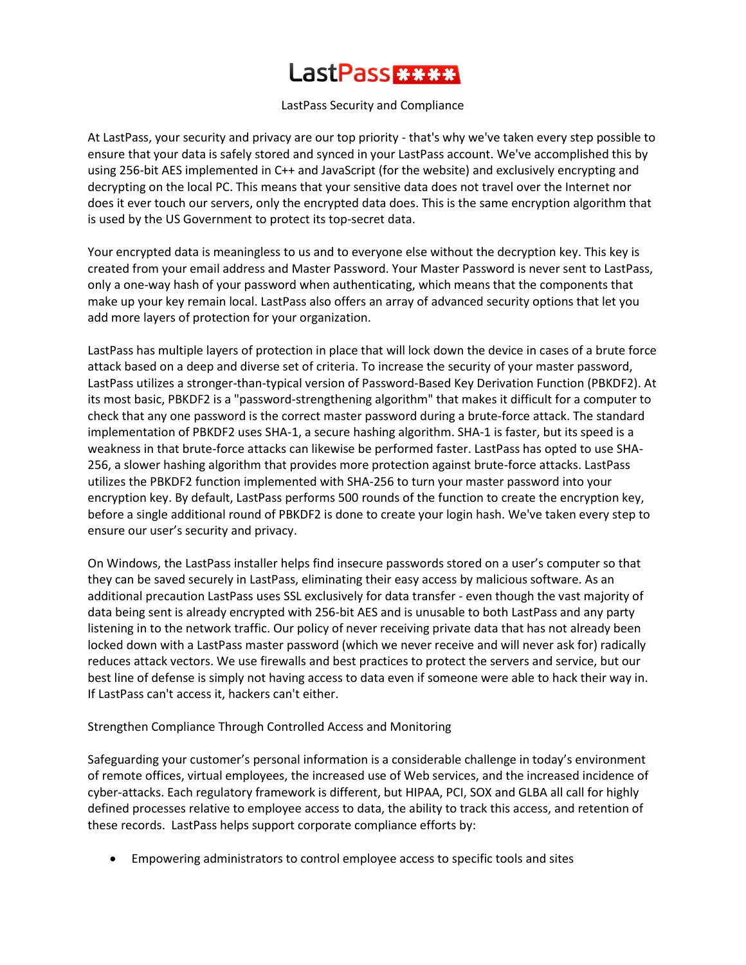# LastPass<del>WWW</del>

#### LastPass Security and Compliance

At LastPass, your security and privacy are our top priority - that's why we've taken every step possible to ensure that your data is safely stored and synced in your LastPass account. We've accomplished this by using 256-bit AES implemented in C++ and JavaScript (for the website) and exclusively encrypting and decrypting on the local PC. This means that your sensitive data does not travel over the Internet nor does it ever touch our servers, only the encrypted data does. This is the same encryption algorithm that is used by the US Government to protect its top-secret data.

Your encrypted data is meaningless to us and to everyone else without the decryption key. This key is created from your email address and Master Password. Your Master Password is never sent to LastPass, only a one-way hash of your password when authenticating, which means that the components that make up your key remain local. LastPass also offers an array of advanced security options that let you add more layers of protection for your organization.

LastPass has multiple layers of protection in place that will lock down the device in cases of a brute force attack based on a deep and diverse set of criteria. To increase the security of your master password, LastPass utilizes a stronger-than-typical version of Password-Based Key Derivation Function [\(PBKDF2\)](http://en.wikipedia.org/wiki/PBKDF2). At its most basic, PBKDF2 is a "password-strengthening algorithm" that makes it difficult for a computer to check that any one password is the correct master password during a brute-force attack. The standard implementation of PBKDF2 uses SHA-1, a secure hashing algorithm. SHA-1 is faster, but its speed is a weakness in that brute-force attacks can likewise be performed faster. LastPass has opted to use SHA-256, a slower hashing algorithm that provides more protection against brute-force attacks. LastPass utilizes the PBKDF2 function implemented with SHA-256 to turn your master password into your encryption key. By default, LastPass performs 500 rounds of the function to create the encryption key, before a single additional round of PBKDF2 is done to create your login hash. We've taken every step to ensure our user's security and privacy.

On Windows, the LastPass installer helps find insecure passwords stored on a user's computer so that they can be saved securely in LastPass, eliminating their easy access by malicious software. As an additional precaution LastPass uses SSL exclusively for data transfer - even though the vast majority of data being sent is already encrypted with 256-bit AES and is unusable to both LastPass and any party listening in to the network traffic. Our policy of never receiving private data that has not already been locked down with a LastPass master password (which we never receive and will never ask for) radically reduces attack vectors. We use firewalls and best practices to protect the servers and service, but our best line of defense is simply not having access to data even if someone were able to hack their way in. If LastPass can't access it, hackers can't either.

## Strengthen Compliance Through Controlled Access and Monitoring

Safeguarding your customer's personal information is a considerable challenge in today's environment of remote offices, virtual employees, the increased use of Web services, and the increased incidence of cyber-attacks. Each regulatory framework is different, but HIPAA, PCI, SOX and GLBA all call for highly defined processes relative to employee access to data, the ability to track this access, and retention of these records. LastPass helps support corporate compliance efforts by:

Empowering administrators to control employee access to specific tools and sites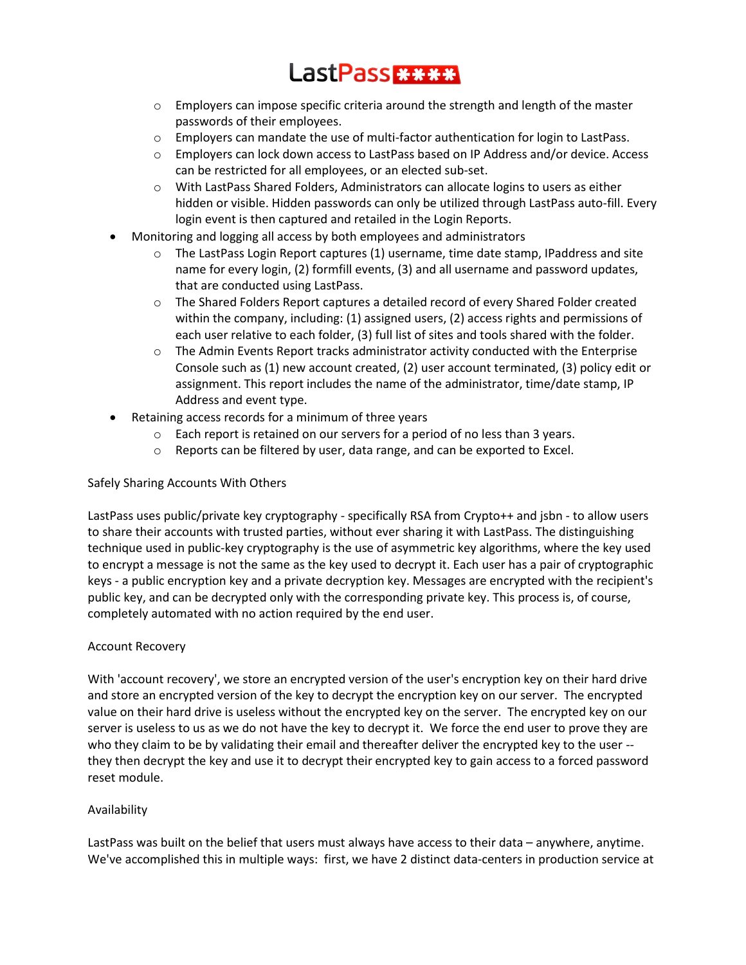## LastPass \*\*\*\*

- o Employers can impose specific criteria around the strength and length of the master passwords of their employees.
- $\circ$  Employers can mandate the use of multi-factor authentication for login to LastPass.
- o Employers can lock down access to LastPass based on IP Address and/or device. Access can be restricted for all employees, or an elected sub-set.
- o With LastPass Shared Folders, Administrators can allocate logins to users as either hidden or visible. Hidden passwords can only be utilized through LastPass auto-fill. Every login event is then captured and retailed in the Login Reports.
- Monitoring and logging all access by both employees and administrators
	- $\circ$  The LastPass Login Report captures (1) username, time date stamp, IPaddress and site name for every login, (2) formfill events, (3) and all username and password updates, that are conducted using LastPass.
	- o The Shared Folders Report captures a detailed record of every Shared Folder created within the company, including: (1) assigned users, (2) access rights and permissions of each user relative to each folder, (3) full list of sites and tools shared with the folder.
	- $\circ$  The Admin Events Report tracks administrator activity conducted with the Enterprise Console such as (1) new account created, (2) user account terminated, (3) policy edit or assignment. This report includes the name of the administrator, time/date stamp, IP Address and event type.
- Retaining access records for a minimum of three years
	- o Each report is retained on our servers for a period of no less than 3 years.
	- o Reports can be filtered by user, data range, and can be exported to Excel.

## Safely Sharing Accounts With Others

LastPass uses public/private key cryptography - specifically RSA from Crypto++ and jsbn - to allow users to share their accounts with trusted parties, without ever sharing it with LastPass. The distinguishing technique used in public-key cryptography is the use of asymmetric key algorithms, where the [key](http://en.wikipedia.org/wiki/Key_%28cryptography%29) used to [encrypt](http://en.wikipedia.org/wiki/Encryption) a message is not the same as the key used t[o decrypt](http://en.wikipedia.org/wiki/Decryption) it. Each user has a pair o[f cryptographic](http://en.wikipedia.org/wiki/Cryptographic_key)  [keys](http://en.wikipedia.org/wiki/Cryptographic_key) - a public encryption key and a private decryption key. Messages are encrypted with the recipient's public key, and can be decrypted only with the corresponding private key. This process is, of course, completely automated with no action required by the end user.

## Account Recovery

With 'account recovery', we store an encrypted version of the user's encryption key on their hard drive and store an encrypted version of the key to decrypt the encryption key on our server. The encrypted value on their hard drive is useless without the encrypted key on the server. The encrypted key on our server is useless to us as we do not have the key to decrypt it. We force the end user to prove they are who they claim to be by validating their email and thereafter deliver the encrypted key to the user - they then decrypt the key and use it to decrypt their encrypted key to gain access to a forced password reset module.

## Availability

LastPass was built on the belief that users must always have access to their data – anywhere, anytime. We've accomplished this in multiple ways: first, we have 2 distinct data-centers in production service at